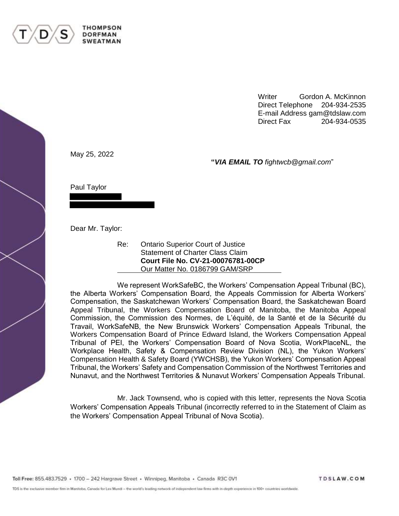

Writer **Gordon A. McKinnon** Direct Telephone 204-934-2535 E-mail Address gam@tdslaw.com Direct Fax 204-934-0535

May 25, 2022

**THOMPSON DORFMAN SWEATMAN** 

**"***VIA EMAIL TO fightwcb@gmail.com*"

Paul Taylor

Dear Mr. Taylor:

Re: Ontario Superior Court of Justice Statement of Charter Class Claim **Court File No. CV-21-00076781-00CP** Our Matter No. 0186799 GAM/SRP

We represent WorkSafeBC, the Workers' Compensation Appeal Tribunal (BC), the Alberta Workers' Compensation Board, the Appeals Commission for Alberta Workers' Compensation, the Saskatchewan Workers' Compensation Board, the Saskatchewan Board Appeal Tribunal, the Workers Compensation Board of Manitoba, the Manitoba Appeal Commission, the Commission des Normes, de L'équité, de la Santé et de la Sécurité du Travail, WorkSafeNB, the New Brunswick Workers' Compensation Appeals Tribunal, the Workers Compensation Board of Prince Edward Island, the Workers Compensation Appeal Tribunal of PEI, the Workers' Compensation Board of Nova Scotia, WorkPlaceNL, the Workplace Health, Safety & Compensation Review Division (NL), the Yukon Workers' Compensation Health & Safety Board (YWCHSB), the Yukon Workers' Compensation Appeal Tribunal, the Workers' Safety and Compensation Commission of the Northwest Territories and Nunavut, and the Northwest Territories & Nunavut Workers' Compensation Appeals Tribunal.

Mr. Jack Townsend, who is copied with this letter, represents the Nova Scotia Workers' Compensation Appeals Tribunal (incorrectly referred to in the Statement of Claim as the Workers' Compensation Appeal Tribunal of Nova Scotia).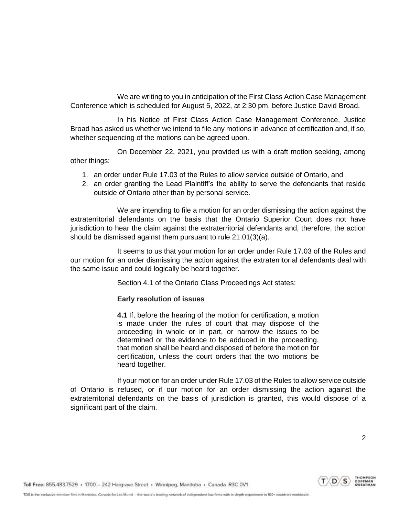We are writing to you in anticipation of the First Class Action Case Management Conference which is scheduled for August 5, 2022, at 2:30 pm, before Justice David Broad.

In his Notice of First Class Action Case Management Conference, Justice Broad has asked us whether we intend to file any motions in advance of certification and, if so, whether sequencing of the motions can be agreed upon.

On December 22, 2021, you provided us with a draft motion seeking, among other things:

- 1. an order under Rule 17.03 of the Rules to allow service outside of Ontario, and
- 2. an order granting the Lead Plaintiff's the ability to serve the defendants that reside outside of Ontario other than by personal service.

We are intending to file a motion for an order dismissing the action against the extraterritorial defendants on the basis that the Ontario Superior Court does not have jurisdiction to hear the claim against the extraterritorial defendants and, therefore, the action should be dismissed against them pursuant to rule 21.01(3)(a).

It seems to us that your motion for an order under Rule 17.03 of the Rules and our motion for an order dismissing the action against the extraterritorial defendants deal with the same issue and could logically be heard together.

Section 4.1 of the Ontario Class Proceedings Act states:

## **Early resolution of issues**

**4.1** If, before the hearing of the motion for certification, a motion is made under the rules of court that may dispose of the proceeding in whole or in part, or narrow the issues to be determined or the evidence to be adduced in the proceeding, that motion shall be heard and disposed of before the motion for certification, unless the court orders that the two motions be heard together.

If your motion for an order under Rule 17.03 of the Rules to allow service outside of Ontario is refused, or if our motion for an order dismissing the action against the extraterritorial defendants on the basis of jurisdiction is granted, this would dispose of a significant part of the claim.

Toll Free: 855.483.7529 · 1700 - 242 Hargrave Street · Winnipeg, Manitoba · Canada R3C 0V1